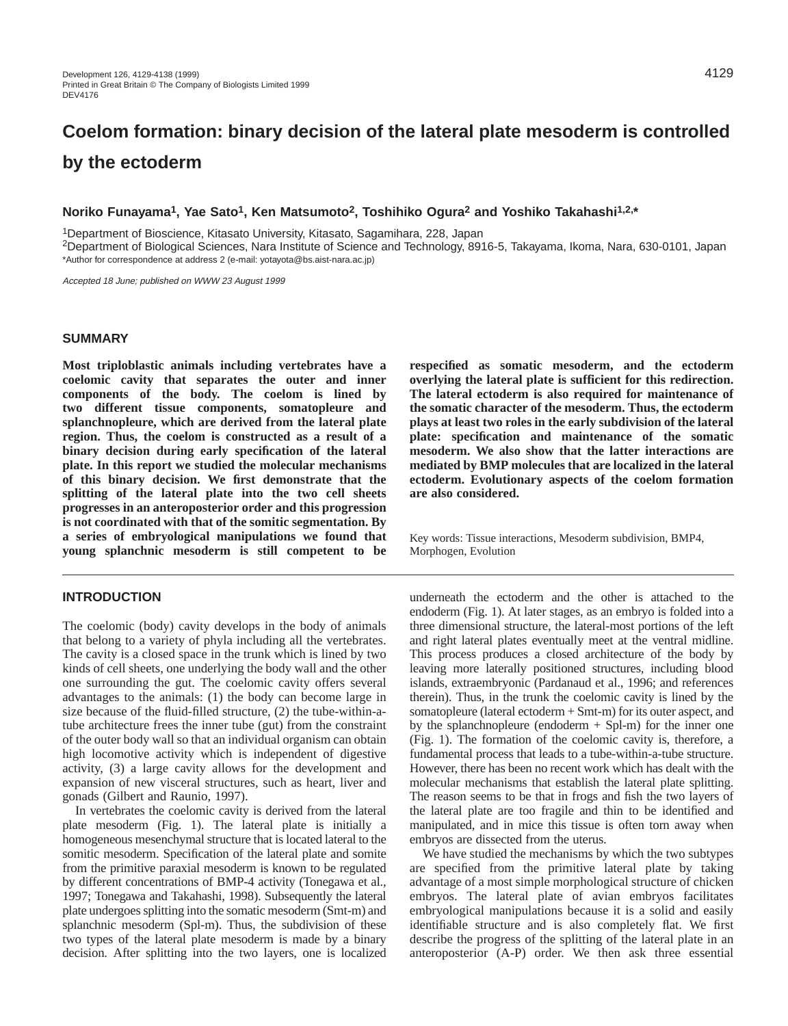# **Coelom formation: binary decision of the lateral plate mesoderm is controlled by the ectoderm**

# **Noriko Funayama1, Yae Sato1, Ken Matsumoto2, Toshihiko Ogura2 and Yoshiko Takahashi1,2,\***

1Department of Bioscience, Kitasato University, Kitasato, Sagamihara, 228, Japan

2Department of Biological Sciences, Nara Institute of Science and Technology, 8916-5, Takayama, Ikoma, Nara, 630-0101, Japan \*Author for correspondence at address 2 (e-mail: yotayota@bs.aist-nara.ac.jp)

Accepted 18 June; published on WWW 23 August 1999

## **SUMMARY**

**Most triploblastic animals including vertebrates have a coelomic cavity that separates the outer and inner components of the body. The coelom is lined by two different tissue components, somatopleure and splanchnopleure, which are derived from the lateral plate region. Thus, the coelom is constructed as a result of a binary decision during early specification of the lateral plate. In this report we studied the molecular mechanisms of this binary decision. We first demonstrate that the splitting of the lateral plate into the two cell sheets progresses in an anteroposterior order and this progression is not coordinated with that of the somitic segmentation. By a series of embryological manipulations we found that young splanchnic mesoderm is still competent to be**

## **INTRODUCTION**

The coelomic (body) cavity develops in the body of animals that belong to a variety of phyla including all the vertebrates. The cavity is a closed space in the trunk which is lined by two kinds of cell sheets, one underlying the body wall and the other one surrounding the gut. The coelomic cavity offers several advantages to the animals: (1) the body can become large in size because of the fluid-filled structure, (2) the tube-within-atube architecture frees the inner tube (gut) from the constraint of the outer body wall so that an individual organism can obtain high locomotive activity which is independent of digestive activity, (3) a large cavity allows for the development and expansion of new visceral structures, such as heart, liver and gonads (Gilbert and Raunio, 1997).

In vertebrates the coelomic cavity is derived from the lateral plate mesoderm (Fig. 1). The lateral plate is initially a homogeneous mesenchymal structure that is located lateral to the somitic mesoderm. Specification of the lateral plate and somite from the primitive paraxial mesoderm is known to be regulated by different concentrations of BMP-4 activity (Tonegawa et al., 1997; Tonegawa and Takahashi, 1998). Subsequently the lateral plate undergoes splitting into the somatic mesoderm (Smt-m) and splanchnic mesoderm (Spl-m). Thus, the subdivision of these two types of the lateral plate mesoderm is made by a binary decision. After splitting into the two layers, one is localized

**respecified as somatic mesoderm, and the ectoderm overlying the lateral plate is sufficient for this redirection. The lateral ectoderm is also required for maintenance of the somatic character of the mesoderm. Thus, the ectoderm plays at least two roles in the early subdivision of the lateral plate: specification and maintenance of the somatic mesoderm. We also show that the latter interactions are mediated by BMP molecules that are localized in the lateral ectoderm. Evolutionary aspects of the coelom formation are also considered.** 

Key words: Tissue interactions, Mesoderm subdivision, BMP4, Morphogen, Evolution

underneath the ectoderm and the other is attached to the endoderm (Fig. 1). At later stages, as an embryo is folded into a three dimensional structure, the lateral-most portions of the left and right lateral plates eventually meet at the ventral midline. This process produces a closed architecture of the body by leaving more laterally positioned structures, including blood islands, extraembryonic (Pardanaud et al., 1996; and references therein). Thus, in the trunk the coelomic cavity is lined by the somatopleure (lateral ectoderm + Smt-m) for its outer aspect, and by the splanchnopleure (endoderm  $+$  Spl-m) for the inner one (Fig. 1). The formation of the coelomic cavity is, therefore, a fundamental process that leads to a tube-within-a-tube structure. However, there has been no recent work which has dealt with the molecular mechanisms that establish the lateral plate splitting. The reason seems to be that in frogs and fish the two layers of the lateral plate are too fragile and thin to be identified and manipulated, and in mice this tissue is often torn away when embryos are dissected from the uterus.

We have studied the mechanisms by which the two subtypes are specified from the primitive lateral plate by taking advantage of a most simple morphological structure of chicken embryos. The lateral plate of avian embryos facilitates embryological manipulations because it is a solid and easily identifiable structure and is also completely flat. We first describe the progress of the splitting of the lateral plate in an anteroposterior (A-P) order. We then ask three essential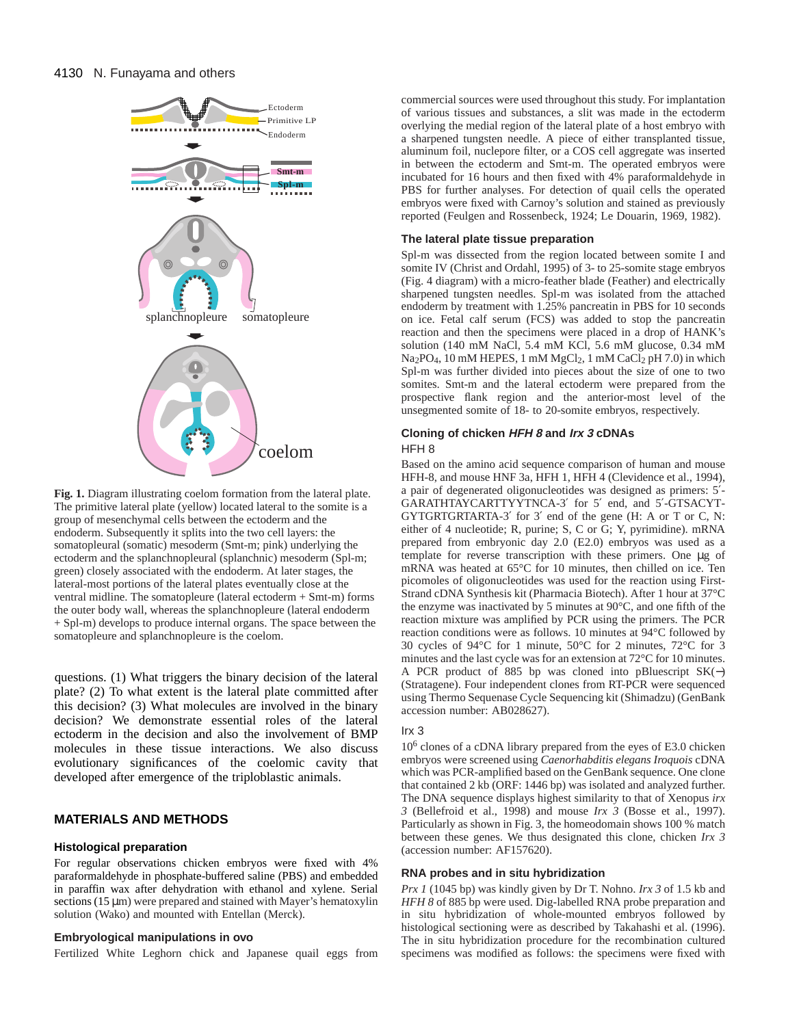

**Fig. 1.** Diagram illustrating coelom formation from the lateral plate. The primitive lateral plate (yellow) located lateral to the somite is a group of mesenchymal cells between the ectoderm and the endoderm. Subsequently it splits into the two cell layers: the somatopleural (somatic) mesoderm (Smt-m; pink) underlying the ectoderm and the splanchnopleural (splanchnic) mesoderm (Spl-m; green) closely associated with the endoderm. At later stages, the lateral-most portions of the lateral plates eventually close at the ventral midline. The somatopleure (lateral ectoderm + Smt-m) forms the outer body wall, whereas the splanchnopleure (lateral endoderm + Spl-m) develops to produce internal organs. The space between the somatopleure and splanchnopleure is the coelom.

questions. (1) What triggers the binary decision of the lateral plate? (2) To what extent is the lateral plate committed after this decision? (3) What molecules are involved in the binary decision? We demonstrate essential roles of the lateral ectoderm in the decision and also the involvement of BMP molecules in these tissue interactions. We also discuss evolutionary significances of the coelomic cavity that developed after emergence of the triploblastic animals.

# **MATERIALS AND METHODS**

## **Histological preparation**

For regular observations chicken embryos were fixed with 4% paraformaldehyde in phosphate-buffered saline (PBS) and embedded in paraffin wax after dehydration with ethanol and xylene. Serial sections  $(15 \mu m)$  were prepared and stained with Mayer's hematoxylin solution (Wako) and mounted with Entellan (Merck).

### **Embryological manipulations in ovo**

Fertilized White Leghorn chick and Japanese quail eggs from

commercial sources were used throughout this study. For implantation of various tissues and substances, a slit was made in the ectoderm overlying the medial region of the lateral plate of a host embryo with a sharpened tungsten needle. A piece of either transplanted tissue, aluminum foil, nuclepore filter, or a COS cell aggregate was inserted in between the ectoderm and Smt-m. The operated embryos were incubated for 16 hours and then fixed with 4% paraformaldehyde in PBS for further analyses. For detection of quail cells the operated embryos were fixed with Carnoy's solution and stained as previously reported (Feulgen and Rossenbeck, 1924; Le Douarin, 1969, 1982).

#### **The lateral plate tissue preparation**

Spl-m was dissected from the region located between somite I and somite IV (Christ and Ordahl, 1995) of 3- to 25-somite stage embryos (Fig. 4 diagram) with a micro-feather blade (Feather) and electrically sharpened tungsten needles. Spl-m was isolated from the attached endoderm by treatment with 1.25% pancreatin in PBS for 10 seconds on ice. Fetal calf serum (FCS) was added to stop the pancreatin reaction and then the specimens were placed in a drop of HANK's solution (140 mM NaCl, 5.4 mM KCl, 5.6 mM glucose, 0.34 mM  $Na<sub>2</sub>PO<sub>4</sub>$ , 10 mM HEPES, 1 mM  $MgCl<sub>2</sub>$ , 1 mM  $CaCl<sub>2</sub>$  pH 7.0) in which Spl-m was further divided into pieces about the size of one to two somites. Smt-m and the lateral ectoderm were prepared from the prospective flank region and the anterior-most level of the unsegmented somite of 18- to 20-somite embryos, respectively.

### **Cloning of chicken HFH 8 and Irx 3 cDNAs** HFH 8

Based on the amino acid sequence comparison of human and mouse HFH-8, and mouse HNF 3a, HFH 1, HFH 4 (Clevidence et al., 1994), a pair of degenerated oligonucleotides was designed as primers: 5′- GARATHTAYCARTTYYTNCA-3′ for 5′ end, and 5′-GTSACYT-GYTGRTGRTARTA-3′ for 3′ end of the gene (H: A or T or C, N: either of 4 nucleotide; R, purine; S, C or G; Y, pyrimidine). mRNA prepared from embryonic day 2.0 (E2.0) embryos was used as a template for reverse transcription with these primers. One µg of mRNA was heated at 65°C for 10 minutes, then chilled on ice. Ten picomoles of oligonucleotides was used for the reaction using First-Strand cDNA Synthesis kit (Pharmacia Biotech). After 1 hour at 37°C the enzyme was inactivated by 5 minutes at 90°C, and one fifth of the reaction mixture was amplified by PCR using the primers. The PCR reaction conditions were as follows. 10 minutes at 94°C followed by 30 cycles of 94°C for 1 minute, 50°C for 2 minutes, 72°C for 3 minutes and the last cycle was for an extension at 72°C for 10 minutes. A PCR product of 885 bp was cloned into pBluescript SK(−) (Stratagene). Four independent clones from RT-PCR were sequenced using Thermo Sequenase Cycle Sequencing kit (Shimadzu) (GenBank accession number: AB028627).

## Irx 3

10<sup>6</sup> clones of a cDNA library prepared from the eyes of E3.0 chicken embryos were screened using *Caenorhabditis elegans Iroquois* cDNA which was PCR-amplified based on the GenBank sequence. One clone that contained 2 kb (ORF: 1446 bp) was isolated and analyzed further. The DNA sequence displays highest similarity to that of Xenopus *irx 3* (Bellefroid et al., 1998) and mouse *Irx 3* (Bosse et al., 1997). Particularly as shown in Fig. 3, the homeodomain shows 100 % match between these genes. We thus designated this clone, chicken *Irx 3* (accession number: AF157620).

#### **RNA probes and in situ hybridization**

*Prx 1* (1045 bp) was kindly given by Dr T. Nohno. *Irx 3* of 1.5 kb and *HFH 8* of 885 bp were used. Dig-labelled RNA probe preparation and in situ hybridization of whole-mounted embryos followed by histological sectioning were as described by Takahashi et al. (1996). The in situ hybridization procedure for the recombination cultured specimens was modified as follows: the specimens were fixed with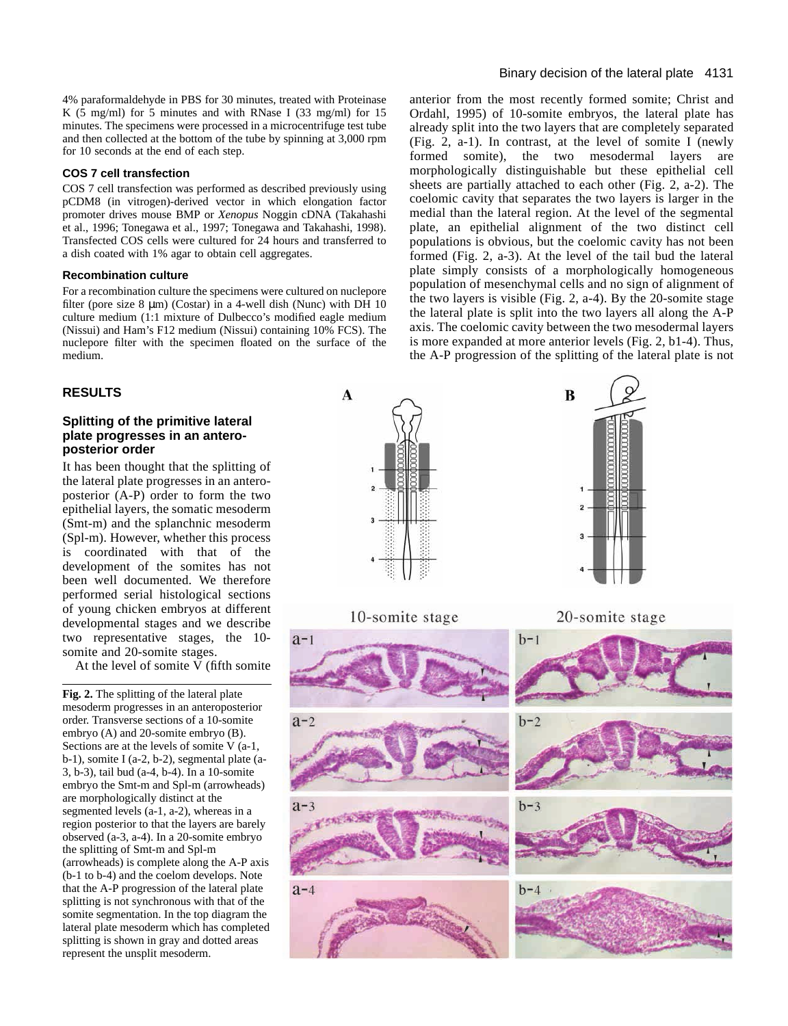4% paraformaldehyde in PBS for 30 minutes, treated with Proteinase K (5 mg/ml) for 5 minutes and with RNase I (33 mg/ml) for 15 minutes. The specimens were processed in a microcentrifuge test tube and then collected at the bottom of the tube by spinning at 3,000 rpm for 10 seconds at the end of each step.

#### **COS 7 cell transfection**

COS 7 cell transfection was performed as described previously using pCDM8 (in vitrogen)-derived vector in which elongation factor promoter drives mouse BMP or *Xenopus* Noggin cDNA (Takahashi et al., 1996; Tonegawa et al., 1997; Tonegawa and Takahashi, 1998). Transfected COS cells were cultured for 24 hours and transferred to a dish coated with 1% agar to obtain cell aggregates.

## **Recombination culture**

For a recombination culture the specimens were cultured on nuclepore filter (pore size  $8 \mu m$ ) (Costar) in a 4-well dish (Nunc) with DH 10 culture medium (1:1 mixture of Dulbecco's modified eagle medium (Nissui) and Ham's F12 medium (Nissui) containing 10% FCS). The nuclepore filter with the specimen floated on the surface of the medium.

# **RESULTS**

## **Splitting of the primitive lateral plate progresses in an anteroposterior order**

It has been thought that the splitting of the lateral plate progresses in an anteroposterior (A-P) order to form the two epithelial layers, the somatic mesoderm (Smt-m) and the splanchnic mesoderm (Spl-m). However, whether this process is coordinated with that of the development of the somites has not been well documented. We therefore performed serial histological sections of young chicken embryos at different developmental stages and we describe two representative stages, the 10 somite and 20-somite stages.

At the level of somite V (fifth somite

**Fig. 2.** The splitting of the lateral plate mesoderm progresses in an anteroposterior order. Transverse sections of a 10-somite embryo (A) and 20-somite embryo (B). Sections are at the levels of somite V (a-1, b-1), somite I (a-2, b-2), segmental plate (a-3, b-3), tail bud (a-4, b-4). In a 10-somite embryo the Smt-m and Spl-m (arrowheads) are morphologically distinct at the segmented levels (a-1, a-2), whereas in a region posterior to that the layers are barely observed (a-3, a-4). In a 20-somite embryo the splitting of Smt-m and Spl-m (arrowheads) is complete along the A-P axis (b-1 to b-4) and the coelom develops. Note that the A-P progression of the lateral plate splitting is not synchronous with that of the somite segmentation. In the top diagram the lateral plate mesoderm which has completed splitting is shown in gray and dotted areas represent the unsplit mesoderm.

anterior from the most recently formed somite; Christ and Ordahl, 1995) of 10-somite embryos, the lateral plate has already split into the two layers that are completely separated (Fig. 2, a-1). In contrast, at the level of somite I (newly formed somite), the two mesodermal layers are morphologically distinguishable but these epithelial cell sheets are partially attached to each other (Fig. 2, a-2). The coelomic cavity that separates the two layers is larger in the medial than the lateral region. At the level of the segmental plate, an epithelial alignment of the two distinct cell populations is obvious, but the coelomic cavity has not been formed (Fig. 2, a-3). At the level of the tail bud the lateral plate simply consists of a morphologically homogeneous population of mesenchymal cells and no sign of alignment of the two layers is visible (Fig. 2, a-4). By the 20-somite stage the lateral plate is split into the two layers all along the A-P axis. The coelomic cavity between the two mesodermal layers is more expanded at more anterior levels (Fig. 2, b1-4). Thus, the A-P progression of the splitting of the lateral plate is not

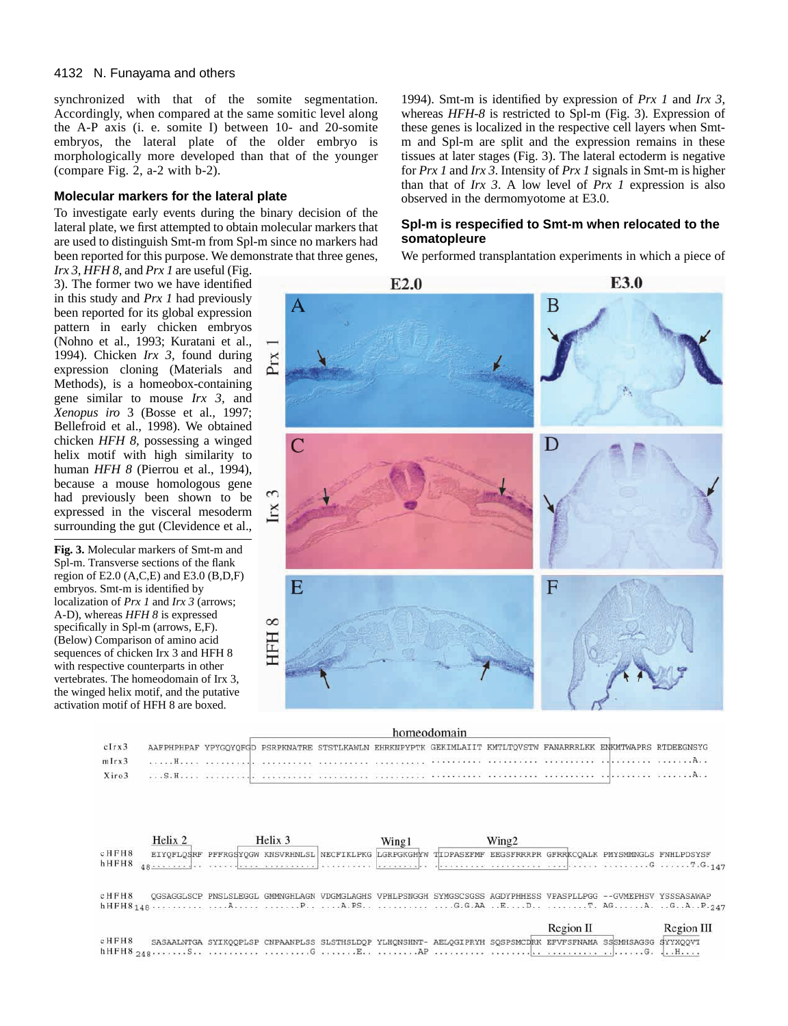synchronized with that of the somite segmentation. Accordingly, when compared at the same somitic level along the A-P axis (i. e. somite I) between 10- and 20-somite embryos, the lateral plate of the older embryo is morphologically more developed than that of the younger (compare Fig. 2, a-2 with b-2).

## **Molecular markers for the lateral plate**

To investigate early events during the binary decision of the lateral plate, we first attempted to obtain molecular markers that are used to distinguish Smt-m from Spl-m since no markers had been reported for this purpose. We demonstrate that three genes,

*Irx 3*, *HFH 8*, and *Prx 1* are useful (Fig. 3). The former two we have identified in this study and *Prx 1* had previously been reported for its global expression pattern in early chicken embryos (Nohno et al., 1993; Kuratani et al., 1994). Chicken *Irx 3*, found during expression cloning (Materials and Methods), is a homeobox-containing gene similar to mouse *Irx 3,* and *Xenopus iro* 3 (Bosse et al., 1997; Bellefroid et al., 1998). We obtained chicken *HFH 8,* possessing a winged helix motif with high similarity to human *HFH 8* (Pierrou et al., 1994), because a mouse homologous gene had previously been shown to be expressed in the visceral mesoderm surrounding the gut (Clevidence et al.,

**Fig. 3.** Molecular markers of Smt-m and Spl-m. Transverse sections of the flank region of E2.0  $(A, C, E)$  and E3.0  $(B, D, F)$ embryos. Smt-m is identified by localization of *Prx 1* and *Irx 3* (arrows; A-D), whereas *HFH 8* is expressed specifically in Spl-m (arrows, E,F). (Below) Comparison of amino acid sequences of chicken Irx 3 and HFH 8 with respective counterparts in other vertebrates. The homeodomain of Irx 3, the winged helix motif, and the putative activation motif of HFH 8 are boxed.

1994). Smt-m is identified by expression of *Prx 1* and *Irx 3*, whereas *HFH-8* is restricted to Spl-m (Fig. 3). Expression of these genes is localized in the respective cell layers when Smtm and Spl-m are split and the expression remains in these tissues at later stages (Fig. 3). The lateral ectoderm is negative for *Prx 1* and *Irx 3*. Intensity of *Prx 1* signals in Smt-m is higher than that of *Irx 3*. A low level of *Prx 1* expression is also observed in the dermomyotome at E3.0.

# **Spl-m is respecified to Smt-m when relocated to the somatopleure**

We performed transplantation experiments in which a piece of



| попессионанг |                                                                                                               |  |  |  |  |  |  |
|--------------|---------------------------------------------------------------------------------------------------------------|--|--|--|--|--|--|
| clrx3        | AAFPHPHPAF YPYGOYOFGD PSRPKNATRE STSTLKAWLN EHRKNPYPTK GEKIMLAIIT KMTLTQVSTW FANARRRLKK ENKMTWAPRS RTDEEGNSYG |  |  |  |  |  |  |
| mIrx3        |                                                                                                               |  |  |  |  |  |  |
| Xiro3        |                                                                                                               |  |  |  |  |  |  |

.<br>Distribución de la provincia

|                 | Helix 2 | Helix 3 | Wing1 | Wing2 |           |                                                                                                               |            |
|-----------------|---------|---------|-------|-------|-----------|---------------------------------------------------------------------------------------------------------------|------------|
| $c$ HFH8        |         |         |       |       |           | EIYOFLOSRF PFFRGSYOGW KNSVRHNLSL NECFIKLPKG LGRPGKGHYW TIDPASEFMF EEGSFRRRPR GFRRKCOALK PMYSMMNGLS FNHLPDSYSF |            |
| $h$ HFH8        |         |         |       |       |           |                                                                                                               |            |
| $c$ H $F$ H $8$ |         |         |       |       |           | OGSAGGLSCP PNSLSLEGGL GMMNGHLAGN VDGMGLAGHS VPHLPSNGGH SYMGSCSGSS AGDYPHHESS VPASPLLPGG --GVMEPHSV YSSSASAWAP |            |
|                 |         |         |       |       |           |                                                                                                               |            |
|                 |         |         |       |       | Region II |                                                                                                               | Region III |
| $c$ HFH8        |         |         |       |       |           | SASAALNTGA SYIKQOPLSP CNPAANPLSS SLSTHSLDOP YLHONSHNT- AELQGIPRYH SOSPSMCDRK EFVFSFNAMA SSSMHSAGSG SYYXQOVT   |            |
|                 |         |         |       |       |           |                                                                                                               |            |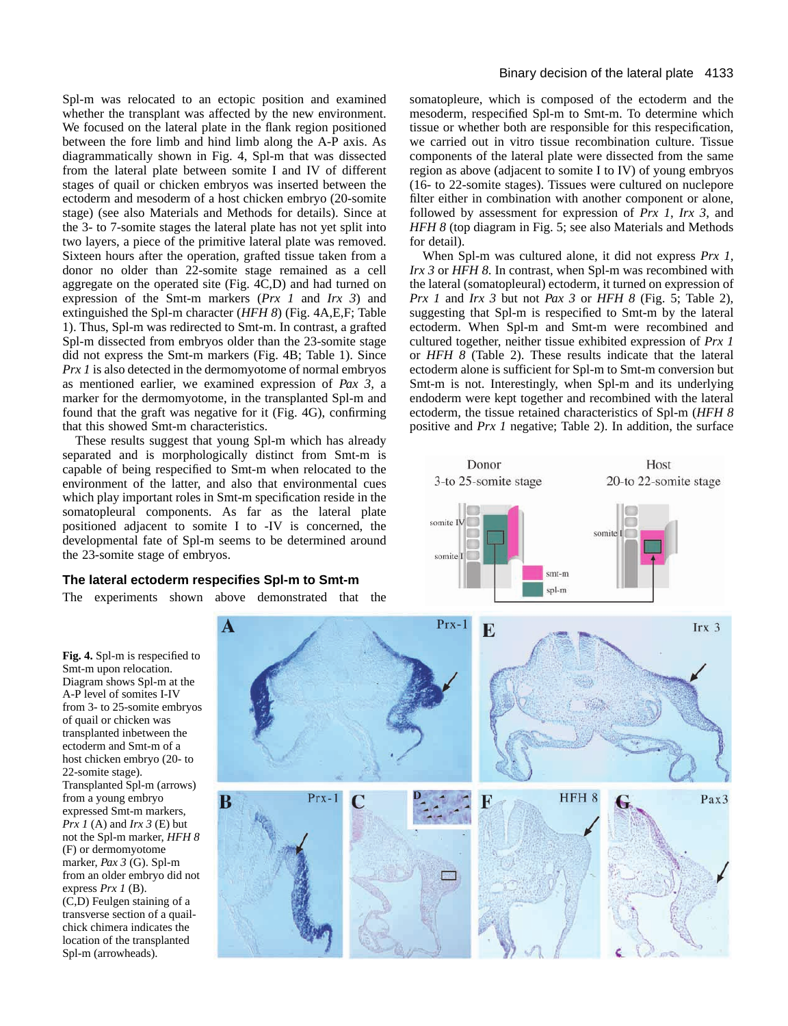Spl-m was relocated to an ectopic position and examined whether the transplant was affected by the new environment. We focused on the lateral plate in the flank region positioned between the fore limb and hind limb along the A-P axis. As diagrammatically shown in Fig. 4, Spl-m that was dissected from the lateral plate between somite I and IV of different stages of quail or chicken embryos was inserted between the ectoderm and mesoderm of a host chicken embryo (20-somite stage) (see also Materials and Methods for details). Since at the 3- to 7-somite stages the lateral plate has not yet split into two layers, a piece of the primitive lateral plate was removed. Sixteen hours after the operation, grafted tissue taken from a donor no older than 22-somite stage remained as a cell aggregate on the operated site (Fig. 4C,D) and had turned on expression of the Smt-m markers (*Prx 1* and *Irx 3*) and extinguished the Spl-m character (*HFH 8*) (Fig. 4A,E,F; Table 1). Thus, Spl-m was redirected to Smt-m. In contrast, a grafted Spl-m dissected from embryos older than the 23-somite stage did not express the Smt-m markers (Fig. 4B; Table 1). Since *Prx 1* is also detected in the dermomyotome of normal embryos as mentioned earlier, we examined expression of *Pax 3*, a marker for the dermomyotome, in the transplanted Spl-m and found that the graft was negative for it (Fig. 4G), confirming that this showed Smt-m characteristics.

These results suggest that young Spl-m which has already separated and is morphologically distinct from Smt-m is capable of being respecified to Smt-m when relocated to the environment of the latter, and also that environmental cues which play important roles in Smt-m specification reside in the somatopleural components. As far as the lateral plate positioned adjacent to somite I to -IV is concerned, the developmental fate of Spl-m seems to be determined around the 23-somite stage of embryos.

# **The lateral ectoderm respecifies Spl-m to Smt-m**

The experiments shown above demonstrated that the

A

B

# Binary decision of the lateral plate 4133

somatopleure, which is composed of the ectoderm and the mesoderm, respecified Spl-m to Smt-m. To determine which tissue or whether both are responsible for this respecification, we carried out in vitro tissue recombination culture. Tissue components of the lateral plate were dissected from the same region as above (adjacent to somite I to IV) of young embryos (16- to 22-somite stages). Tissues were cultured on nuclepore filter either in combination with another component or alone, followed by assessment for expression of *Prx 1*, *Irx 3*, and *HFH 8* (top diagram in Fig. 5; see also Materials and Methods for detail).

When Spl-m was cultured alone, it did not express *Prx 1*, *Irx 3* or *HFH 8*. In contrast, when Spl-m was recombined with the lateral (somatopleural) ectoderm, it turned on expression of *Prx 1* and *Irx 3* but not *Pax 3* or *HFH 8* (Fig. 5; Table 2), suggesting that Spl-m is respecified to Smt-m by the lateral ectoderm. When Spl-m and Smt-m were recombined and cultured together, neither tissue exhibited expression of *Prx 1* or *HFH 8* (Table 2). These results indicate that the lateral ectoderm alone is sufficient for Spl-m to Smt-m conversion but Smt-m is not. Interestingly, when Spl-m and its underlying endoderm were kept together and recombined with the lateral ectoderm, the tissue retained characteristics of Spl-m (*HFH 8* positive and *Prx 1* negative; Table 2). In addition, the surface



**Fig. 4.** Spl-m is respecified to Smt-m upon relocation. Diagram shows Spl-m at the A-P level of somites I-IV from 3- to 25-somite embryos of quail or chicken was transplanted inbetween the ectoderm and Smt-m of a host chicken embryo (20- to 22-somite stage). Transplanted Spl-m (arrows) from a young embryo expressed Smt-m markers, *Prx 1* (A) and *Irx 3* (E) but not the Spl-m marker, *HFH 8* (F) or dermomyotome marker, *Pax 3* (G). Spl-m from an older embryo did not express *Prx 1* (B). (C,D) Feulgen staining of a transverse section of a quailchick chimera indicates the location of the transplanted Spl-m (arrowheads).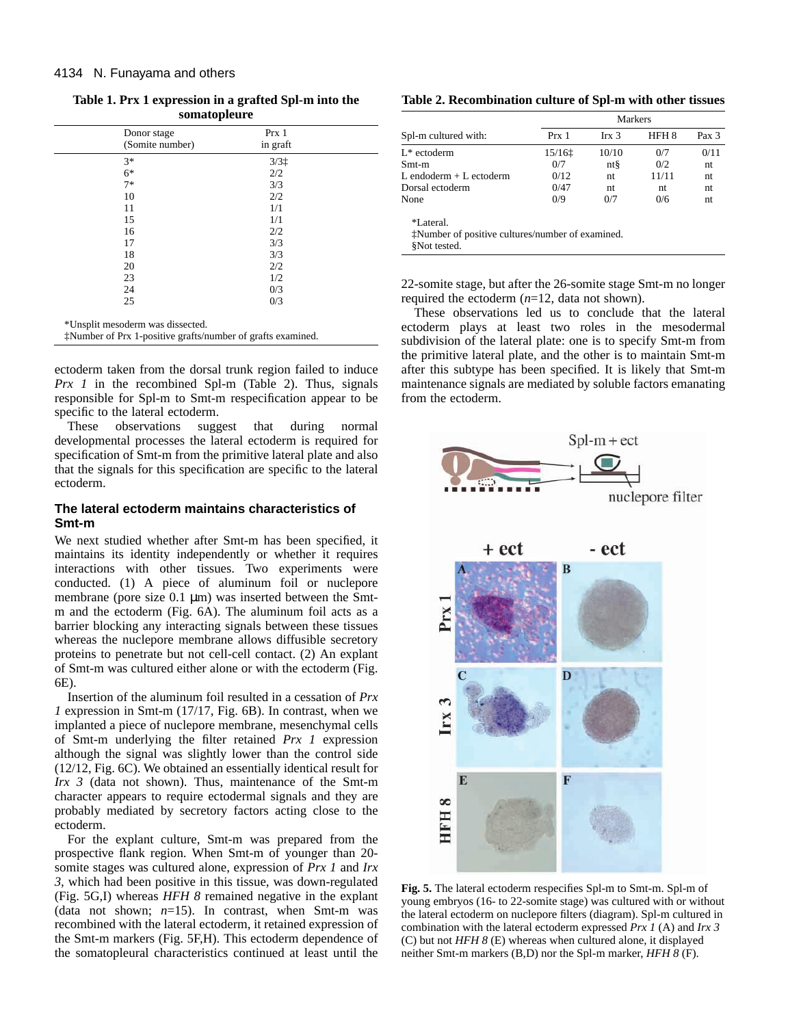**Table 1. Prx 1 expression in a grafted Spl-m into the somatopleure**

| Donor stage<br>(Somite number) | Prx 1<br>in graft |  |
|--------------------------------|-------------------|--|
| $3*$                           | $3/3$ $\ddagger$  |  |
| $6*$                           | 2/2               |  |
| $7*$                           | 3/3               |  |
| 10                             | 2/2               |  |
| 11                             | 1/1               |  |
| 15                             | 1/1               |  |
| 16                             | 2/2               |  |
| 17                             | 3/3               |  |
| 18                             | 3/3               |  |
| 20                             | 2/2               |  |
| 23                             | 1/2               |  |
| 24                             | 0/3               |  |
| 25                             | 0/3               |  |
|                                |                   |  |

\*Unsplit mesoderm was dissected.

‡Number of Prx 1-positive grafts/number of grafts examined.

ectoderm taken from the dorsal trunk region failed to induce *Prx 1* in the recombined Spl-m (Table 2). Thus, signals responsible for Spl-m to Smt-m respecification appear to be specific to the lateral ectoderm.

These observations suggest that during normal developmental processes the lateral ectoderm is required for specification of Smt-m from the primitive lateral plate and also that the signals for this specification are specific to the lateral ectoderm.

## **The lateral ectoderm maintains characteristics of Smt-m**

We next studied whether after Smt-m has been specified, it maintains its identity independently or whether it requires interactions with other tissues. Two experiments were conducted. (1) A piece of aluminum foil or nuclepore membrane (pore size  $0.1 \mu m$ ) was inserted between the Smtm and the ectoderm (Fig. 6A). The aluminum foil acts as a barrier blocking any interacting signals between these tissues whereas the nuclepore membrane allows diffusible secretory proteins to penetrate but not cell-cell contact. (2) An explant of Smt-m was cultured either alone or with the ectoderm (Fig. 6E).

Insertion of the aluminum foil resulted in a cessation of *Prx 1* expression in Smt-m (17/17, Fig. 6B). In contrast, when we implanted a piece of nuclepore membrane, mesenchymal cells of Smt-m underlying the filter retained *Prx 1* expression although the signal was slightly lower than the control side (12/12, Fig. 6C). We obtained an essentially identical result for *Irx 3* (data not shown). Thus, maintenance of the Smt-m character appears to require ectodermal signals and they are probably mediated by secretory factors acting close to the ectoderm.

For the explant culture, Smt-m was prepared from the prospective flank region. When Smt-m of younger than 20 somite stages was cultured alone, expression of *Prx 1* and *Irx 3,* which had been positive in this tissue, was down-regulated (Fig. 5G,I) whereas *HFH 8* remained negative in the explant (data not shown;  $n=15$ ). In contrast, when Smt-m was recombined with the lateral ectoderm, it retained expression of the Smt-m markers (Fig. 5F,H). This ectoderm dependence of the somatopleural characteristics continued at least until the

**Table 2. Recombination culture of Spl-m with other tissues**

|                                                  | <b>Markers</b> |                  |                  |       |  |  |
|--------------------------------------------------|----------------|------------------|------------------|-------|--|--|
| Spl-m cultured with:                             | Prx 1          | Irx <sub>3</sub> | HFH <sub>8</sub> | Pax 3 |  |  |
| $L^*$ ectoderm                                   | 15/161         | 10/10            | 0/7              | 0/11  |  |  |
| $Smt-m$                                          | 0/7            | $nt\$            | 0/2              | nt    |  |  |
| L endoderm $+$ L ectoderm                        | 0/12           | nt               | 11/11            | nt.   |  |  |
| Dorsal ectoderm                                  | 0/47           | nt               | nt               | nt.   |  |  |
| None                                             | 0/9            | 0/7              | 0/6              | nt    |  |  |
| *Lateral.                                        |                |                  |                  |       |  |  |
| *Number of positive cultures/number of examined. |                |                  |                  |       |  |  |
| SNot tested.                                     |                |                  |                  |       |  |  |

22-somite stage, but after the 26-somite stage Smt-m no longer required the ectoderm (*n*=12, data not shown).

These observations led us to conclude that the lateral ectoderm plays at least two roles in the mesodermal subdivision of the lateral plate: one is to specify Smt-m from the primitive lateral plate, and the other is to maintain Smt-m after this subtype has been specified. It is likely that Smt-m maintenance signals are mediated by soluble factors emanating from the ectoderm.



**Fig. 5.** The lateral ectoderm respecifies Spl-m to Smt-m. Spl-m of young embryos (16- to 22-somite stage) was cultured with or without the lateral ectoderm on nuclepore filters (diagram). Spl-m cultured in combination with the lateral ectoderm expressed *Prx 1* (A) and *Irx 3* (C) but not *HFH 8* (E) whereas when cultured alone, it displayed neither Smt-m markers (B,D) nor the Spl-m marker, *HFH 8* (F).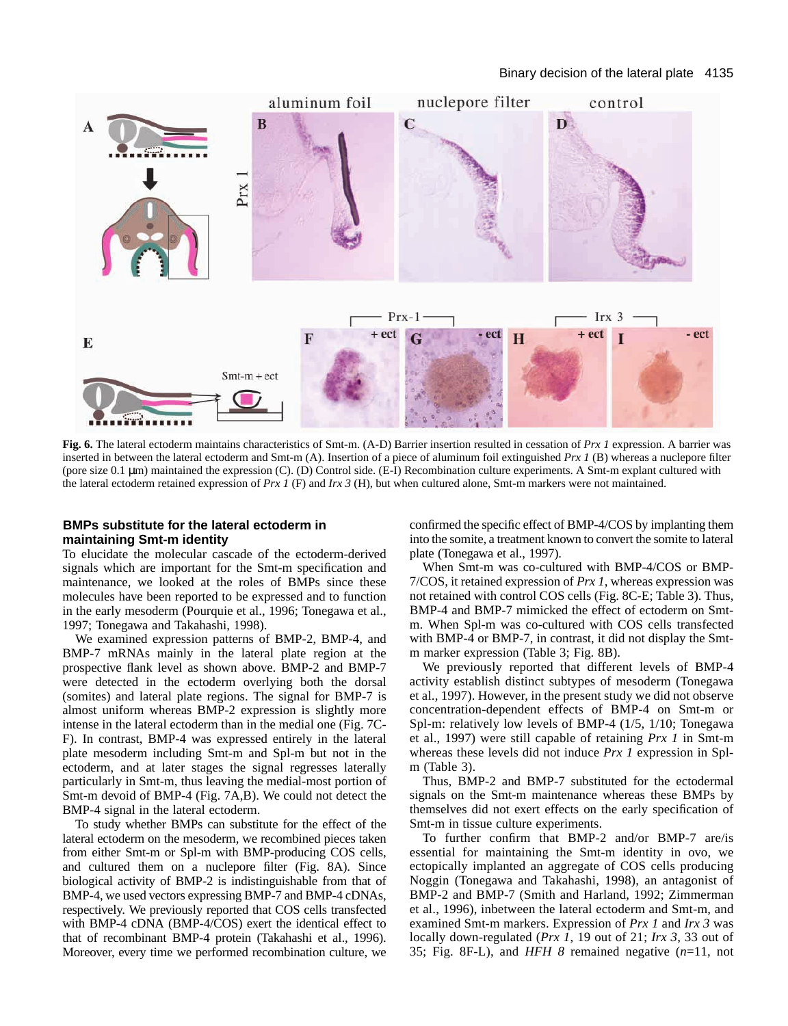

**Fig. 6.** The lateral ectoderm maintains characteristics of Smt-m. (A-D) Barrier insertion resulted in cessation of *Prx 1* expression. A barrier was inserted in between the lateral ectoderm and Smt-m (A). Insertion of a piece of aluminum foil extinguished *Prx 1* (B) whereas a nuclepore filter (pore size 0.1 µm) maintained the expression (C). (D) Control side. (E-I) Recombination culture experiments. A Smt-m explant cultured with the lateral ectoderm retained expression of *Prx 1* (F) and *Irx 3* (H), but when cultured alone, Smt-m markers were not maintained.

## **BMPs substitute for the lateral ectoderm in maintaining Smt-m identity**

To elucidate the molecular cascade of the ectoderm-derived signals which are important for the Smt-m specification and maintenance, we looked at the roles of BMPs since these molecules have been reported to be expressed and to function in the early mesoderm (Pourquie et al., 1996; Tonegawa et al., 1997; Tonegawa and Takahashi, 1998).

We examined expression patterns of BMP-2, BMP-4, and BMP-7 mRNAs mainly in the lateral plate region at the prospective flank level as shown above. BMP-2 and BMP-7 were detected in the ectoderm overlying both the dorsal (somites) and lateral plate regions. The signal for BMP-7 is almost uniform whereas BMP-2 expression is slightly more intense in the lateral ectoderm than in the medial one (Fig. 7C-F). In contrast, BMP-4 was expressed entirely in the lateral plate mesoderm including Smt-m and Spl-m but not in the ectoderm, and at later stages the signal regresses laterally particularly in Smt-m, thus leaving the medial-most portion of Smt-m devoid of BMP-4 (Fig. 7A,B). We could not detect the BMP-4 signal in the lateral ectoderm.

To study whether BMPs can substitute for the effect of the lateral ectoderm on the mesoderm, we recombined pieces taken from either Smt-m or Spl-m with BMP-producing COS cells, and cultured them on a nuclepore filter (Fig. 8A). Since biological activity of BMP-2 is indistinguishable from that of BMP-4, we used vectors expressing BMP-7 and BMP-4 cDNAs, respectively. We previously reported that COS cells transfected with BMP-4 cDNA (BMP-4/COS) exert the identical effect to that of recombinant BMP-4 protein (Takahashi et al., 1996). Moreover, every time we performed recombination culture, we confirmed the specific effect of BMP-4/COS by implanting them into the somite, a treatment known to convert the somite to lateral plate (Tonegawa et al., 1997).

When Smt-m was co-cultured with BMP-4/COS or BMP-7/COS, it retained expression of *Prx 1*, whereas expression was not retained with control COS cells (Fig. 8C-E; Table 3). Thus, BMP-4 and BMP-7 mimicked the effect of ectoderm on Smtm. When Spl-m was co-cultured with COS cells transfected with BMP-4 or BMP-7, in contrast, it did not display the Smtm marker expression (Table 3; Fig. 8B).

We previously reported that different levels of BMP-4 activity establish distinct subtypes of mesoderm (Tonegawa et al., 1997). However, in the present study we did not observe concentration-dependent effects of BMP-4 on Smt-m or Spl-m: relatively low levels of BMP-4 (1/5, 1/10; Tonegawa et al., 1997) were still capable of retaining *Prx 1* in Smt-m whereas these levels did not induce *Prx 1* expression in Splm (Table 3).

Thus, BMP-2 and BMP-7 substituted for the ectodermal signals on the Smt-m maintenance whereas these BMPs by themselves did not exert effects on the early specification of Smt-m in tissue culture experiments.

To further confirm that BMP-2 and/or BMP-7 are/is essential for maintaining the Smt-m identity in ovo, we ectopically implanted an aggregate of COS cells producing Noggin (Tonegawa and Takahashi, 1998), an antagonist of BMP-2 and BMP-7 (Smith and Harland, 1992; Zimmerman et al., 1996), inbetween the lateral ectoderm and Smt-m, and examined Smt-m markers. Expression of *Prx 1* and *Irx 3* was locally down-regulated (*Prx 1*, 19 out of 21; *Irx 3*, 33 out of 35; Fig. 8F-L), and *HFH 8* remained negative (*n*=11, not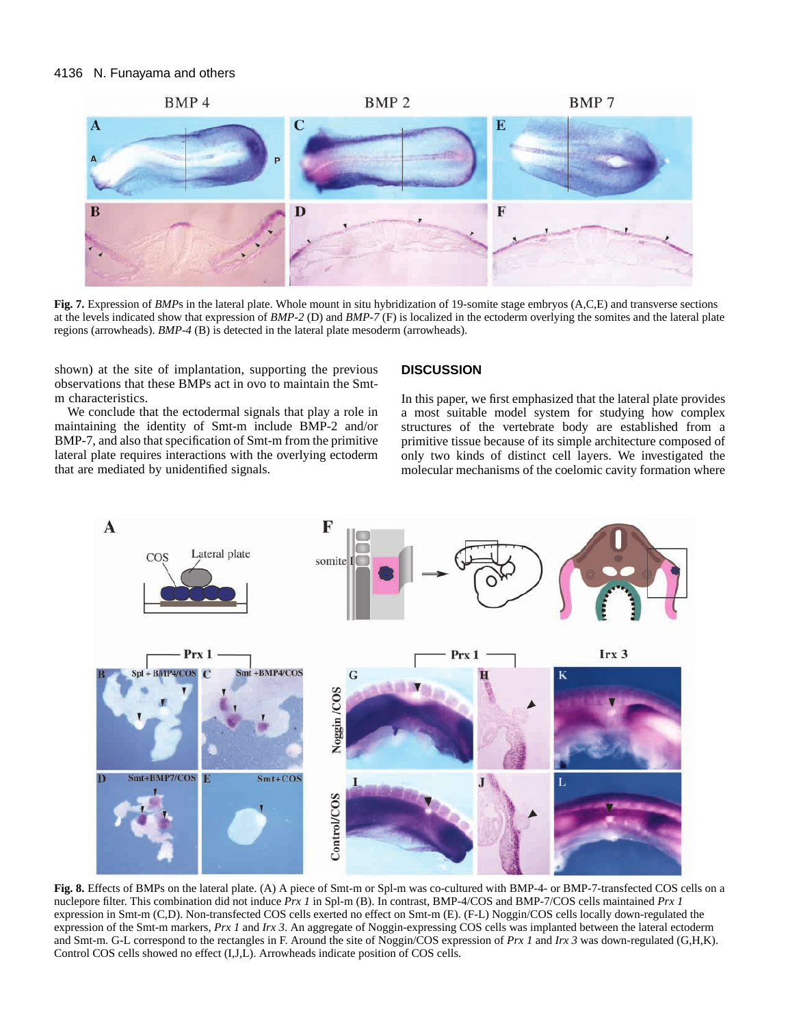

Fig. 7. Expression of *BMP*s in the lateral plate. Whole mount in situ hybridization of 19-somite stage embryos (A,C,E) and transverse sections at the levels indicated show that expression of *BMP-2* (D) and *BMP-7* (F) is localized in the ectoderm overlying the somites and the lateral plate regions (arrowheads). *BMP-4* (B) is detected in the lateral plate mesoderm (arrowheads).

shown) at the site of implantation, supporting the previous observations that these BMPs act in ovo to maintain the Smtm characteristics.

We conclude that the ectodermal signals that play a role in maintaining the identity of Smt-m include BMP-2 and/or BMP-7, and also that specification of Smt-m from the primitive lateral plate requires interactions with the overlying ectoderm that are mediated by unidentified signals.

## **DISCUSSION**

In this paper, we first emphasized that the lateral plate provides a most suitable model system for studying how complex structures of the vertebrate body are established from a primitive tissue because of its simple architecture composed of only two kinds of distinct cell layers. We investigated the molecular mechanisms of the coelomic cavity formation where



**Fig. 8.** Effects of BMPs on the lateral plate. (A) A piece of Smt-m or Spl-m was co-cultured with BMP-4- or BMP-7-transfected COS cells on a nuclepore filter. This combination did not induce *Prx 1* in Spl-m (B). In contrast, BMP-4/COS and BMP-7/COS cells maintained *Prx 1* expression in Smt-m (C,D). Non-transfected COS cells exerted no effect on Smt-m (E). (F-L) Noggin/COS cells locally down-regulated the expression of the Smt-m markers, *Prx 1* and *Irx 3*. An aggregate of Noggin-expressing COS cells was implanted between the lateral ectoderm and Smt-m. G-L correspond to the rectangles in F. Around the site of Noggin/COS expression of *Prx 1* and *Irx 3* was down-regulated (G,H,K). Control COS cells showed no effect (I,J,L). Arrowheads indicate position of COS cells.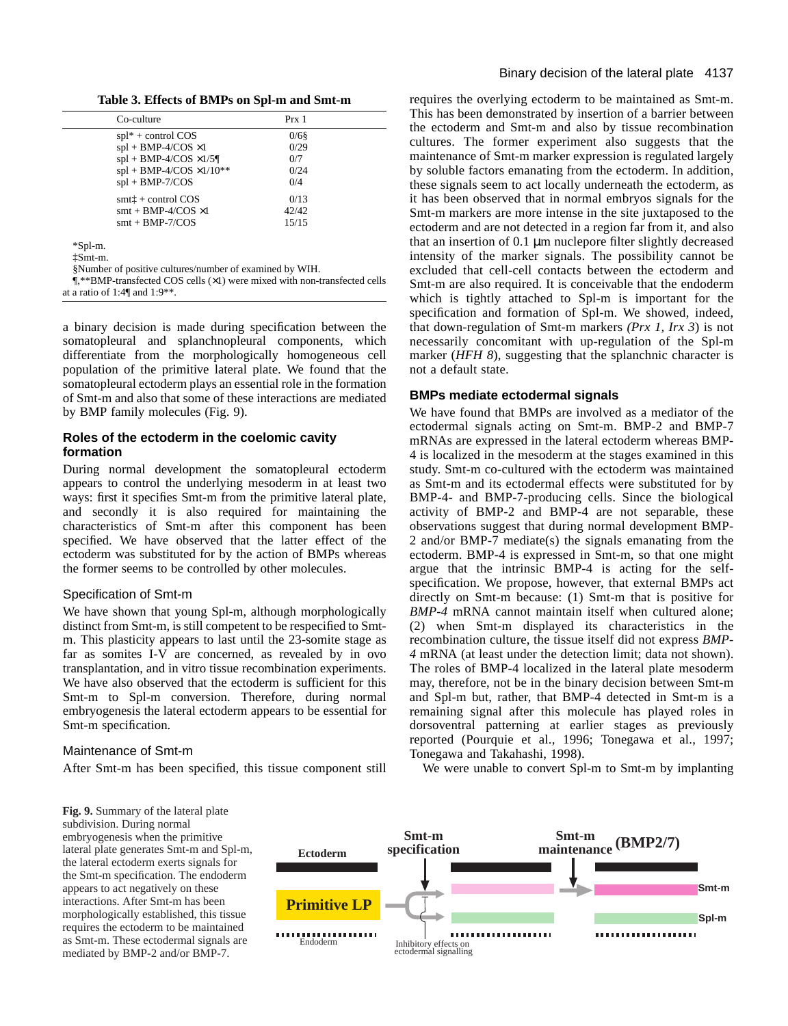**Table 3. Effects of BMPs on Spl-m and Smt-m**

| Co-culture                                                                                                                                    | Prx 1   |
|-----------------------------------------------------------------------------------------------------------------------------------------------|---------|
| $spl^* + control COS$                                                                                                                         | $0/6$ § |
| $spl + BMP-4/COS \times 1$                                                                                                                    | 0/29    |
| $spl + BMP-4/COS \times 1/5$                                                                                                                  | 0/7     |
| $spl + BMP-4/COS \times 1/10**$                                                                                                               | 0/24    |
| $spl + BMP-7/COS$                                                                                                                             | 0/4     |
| $smt + control COS$                                                                                                                           | 0/13    |
| $smt + BMP-4/COS \times 1$                                                                                                                    | 42/42   |
| $smt + BMP-7/COS$                                                                                                                             | 15/15   |
| *Spl-m.<br><i>iSmt-m.</i><br>§Number of positive cultures/number of examined by WIH.                                                          |         |
| $\P$ **BMP-transfected COS cells ( $\times$ 1) were mixed with non-transfected cells<br>at a ratio of 1:4 $\parallel$ and 1:9 <sup>**</sup> . |         |

a binary decision is made during specification between the somatopleural and splanchnopleural components, which differentiate from the morphologically homogeneous cell population of the primitive lateral plate. We found that the somatopleural ectoderm plays an essential role in the formation of Smt-m and also that some of these interactions are mediated by BMP family molecules (Fig. 9).

## **Roles of the ectoderm in the coelomic cavity formation**

During normal development the somatopleural ectoderm appears to control the underlying mesoderm in at least two ways: first it specifies Smt-m from the primitive lateral plate, and secondly it is also required for maintaining the characteristics of Smt-m after this component has been specified. We have observed that the latter effect of the ectoderm was substituted for by the action of BMPs whereas the former seems to be controlled by other molecules.

## Specification of Smt-m

We have shown that young Spl-m, although morphologically distinct from Smt-m, is still competent to be respecified to Smtm. This plasticity appears to last until the 23-somite stage as far as somites I-V are concerned, as revealed by in ovo transplantation, and in vitro tissue recombination experiments. We have also observed that the ectoderm is sufficient for this Smt-m to Spl-m conversion. Therefore, during normal embryogenesis the lateral ectoderm appears to be essential for Smt-m specification.

# Maintenance of Smt-m

After Smt-m has been specified, this tissue component still

requires the overlying ectoderm to be maintained as Smt-m. This has been demonstrated by insertion of a barrier between the ectoderm and Smt-m and also by tissue recombination cultures. The former experiment also suggests that the maintenance of Smt-m marker expression is regulated largely by soluble factors emanating from the ectoderm. In addition, these signals seem to act locally underneath the ectoderm, as it has been observed that in normal embryos signals for the Smt-m markers are more intense in the site juxtaposed to the ectoderm and are not detected in a region far from it, and also that an insertion of 0.1 µm nuclepore filter slightly decreased intensity of the marker signals. The possibility cannot be excluded that cell-cell contacts between the ectoderm and Smt-m are also required. It is conceivable that the endoderm which is tightly attached to Spl-m is important for the specification and formation of Spl-m. We showed, indeed, that down-regulation of Smt-m markers *(Prx 1, Irx 3*) is not necessarily concomitant with up-regulation of the Spl-m marker (*HFH 8*), suggesting that the splanchnic character is not a default state.

# **BMPs mediate ectodermal signals**

We have found that BMPs are involved as a mediator of the ectodermal signals acting on Smt-m. BMP-2 and BMP-7 mRNAs are expressed in the lateral ectoderm whereas BMP-4 is localized in the mesoderm at the stages examined in this study. Smt-m co-cultured with the ectoderm was maintained as Smt-m and its ectodermal effects were substituted for by BMP-4- and BMP-7-producing cells. Since the biological activity of BMP-2 and BMP-4 are not separable, these observations suggest that during normal development BMP-2 and/or BMP-7 mediate(s) the signals emanating from the ectoderm. BMP-4 is expressed in Smt-m, so that one might argue that the intrinsic BMP-4 is acting for the selfspecification. We propose, however, that external BMPs act directly on Smt-m because: (1) Smt-m that is positive for *BMP-4* mRNA cannot maintain itself when cultured alone; (2) when Smt-m displayed its characteristics in the recombination culture, the tissue itself did not express *BMP-4* mRNA (at least under the detection limit; data not shown). The roles of BMP-4 localized in the lateral plate mesoderm may, therefore, not be in the binary decision between Smt-m and Spl-m but, rather, that BMP-4 detected in Smt-m is a remaining signal after this molecule has played roles in dorsoventral patterning at earlier stages as previously reported (Pourquie et al., 1996; Tonegawa et al., 1997; Tonegawa and Takahashi, 1998).

We were unable to convert Spl-m to Smt-m by implanting

**Fig. 9.** Summary of the lateral plate subdivision. During normal embryogenesis when the primitive lateral plate generates Smt-m and Spl-m, the lateral ectoderm exerts signals for the Smt-m specification. The endoderm appears to act negatively on these interactions. After Smt-m has been morphologically established, this tissue requires the ectoderm to be maintained as Smt-m. These ectodermal signals are mediated by BMP-2 and/or BMP-7.